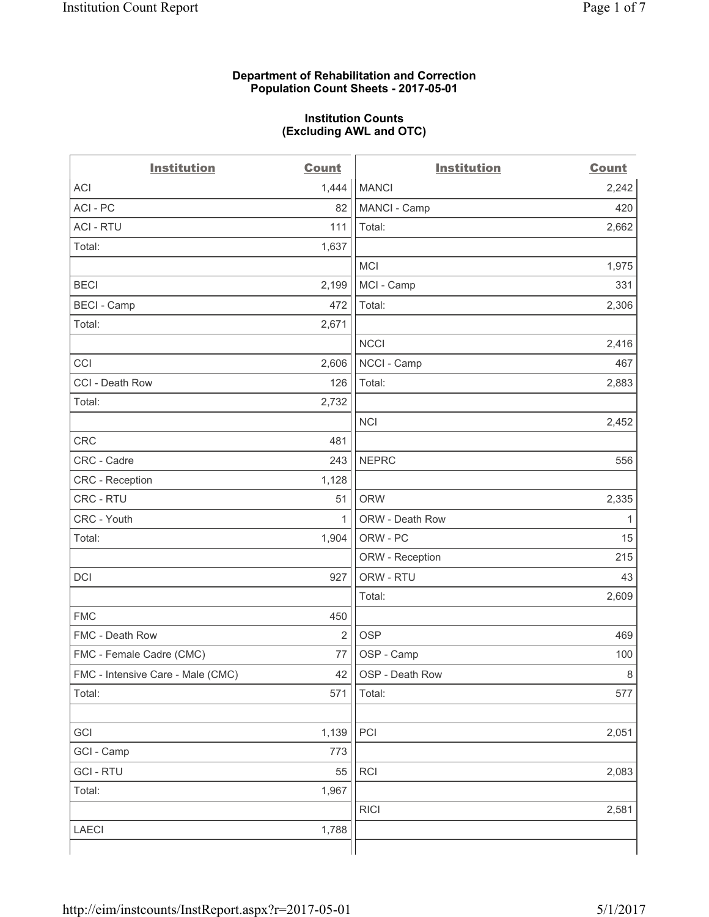### **Department of Rehabilitation and Correction Population Count Sheets - 2017-05-01**

#### **Institution Counts (Excluding AWL and OTC)**

 $-$ 

| <b>Institution</b>                | <b>Count</b>   | <b>Institution</b> | <b>Count</b> |
|-----------------------------------|----------------|--------------------|--------------|
| <b>ACI</b>                        | 1,444          | <b>MANCI</b>       | 2,242        |
| ACI-PC                            | 82             | MANCI - Camp       | 420          |
| <b>ACI - RTU</b>                  | 111            | Total:             | 2,662        |
| Total:                            | 1,637          |                    |              |
|                                   |                | <b>MCI</b>         | 1,975        |
| <b>BECI</b>                       | 2,199          | MCI - Camp         | 331          |
| <b>BECI</b> - Camp                | 472            | Total:             | 2,306        |
| Total:                            | 2,671          |                    |              |
|                                   |                | <b>NCCI</b>        | 2,416        |
| CCI                               | 2,606          | NCCI - Camp        | 467          |
| CCI - Death Row                   | 126            | Total:             | 2,883        |
| Total:                            | 2,732          |                    |              |
|                                   |                | <b>NCI</b>         | 2,452        |
| <b>CRC</b>                        | 481            |                    |              |
| CRC - Cadre                       | 243            | <b>NEPRC</b>       | 556          |
| CRC - Reception                   | 1,128          |                    |              |
| CRC - RTU                         | 51             | <b>ORW</b>         | 2,335        |
| CRC - Youth                       | 1              | ORW - Death Row    | 1            |
| Total:                            | 1,904          | ORW - PC           | 15           |
|                                   |                | ORW - Reception    | 215          |
| DCI                               | 927            | ORW - RTU          | 43           |
|                                   |                | Total:             | 2,609        |
| <b>FMC</b>                        | 450            |                    |              |
| FMC - Death Row                   | $\overline{2}$ | <b>OSP</b>         | 469          |
| FMC - Female Cadre (CMC)          | 77             | OSP - Camp         | 100          |
| FMC - Intensive Care - Male (CMC) | 42             | OSP - Death Row    | 8            |
| Total:                            | 571            | Total:             | 577          |
|                                   |                |                    |              |
| GCI                               | 1,139          | PCI                | 2,051        |
| GCI - Camp                        | 773            |                    |              |
| <b>GCI-RTU</b>                    | 55             | RCI                | 2,083        |
| Total:                            | 1,967          |                    |              |
|                                   |                | <b>RICI</b>        | 2,581        |
| LAECI                             | 1,788          |                    |              |
|                                   |                |                    |              |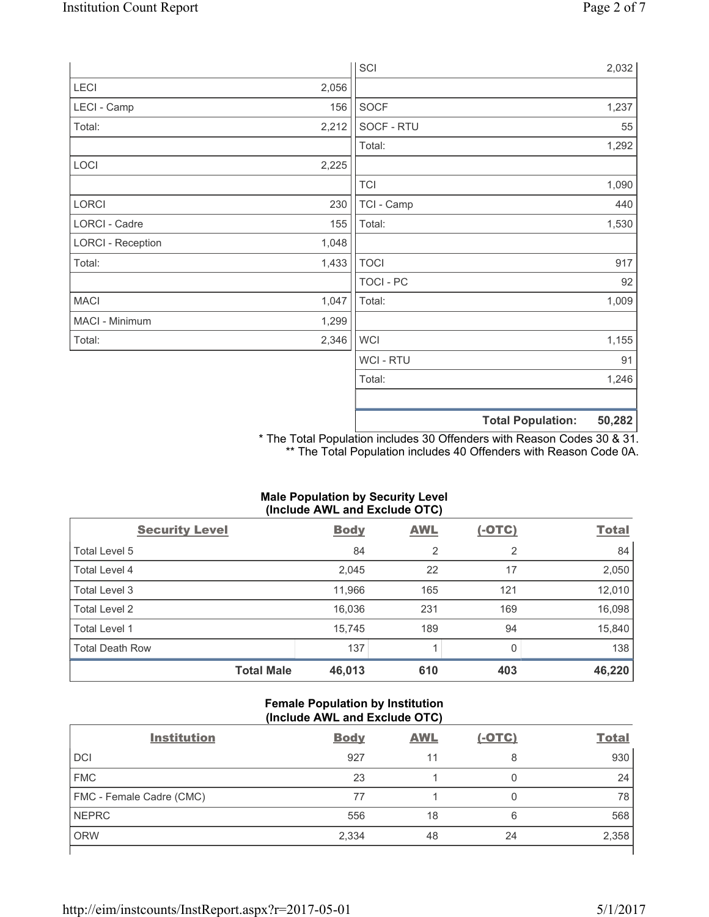|                          |       | SCI              |                          | 2,032  |
|--------------------------|-------|------------------|--------------------------|--------|
| LECI                     | 2,056 |                  |                          |        |
| LECI - Camp              | 156   | SOCF             |                          | 1,237  |
| Total:                   | 2,212 | SOCF - RTU       |                          | 55     |
|                          |       | Total:           |                          | 1,292  |
| LOCI                     | 2,225 |                  |                          |        |
|                          |       | <b>TCI</b>       |                          | 1,090  |
| LORCI                    | 230   | TCI - Camp       |                          | 440    |
| LORCI - Cadre            | 155   | Total:           |                          | 1,530  |
| <b>LORCI - Reception</b> | 1,048 |                  |                          |        |
| Total:                   | 1,433 | <b>TOCI</b>      |                          | 917    |
|                          |       | <b>TOCI - PC</b> |                          | 92     |
| <b>MACI</b>              | 1,047 | Total:           |                          | 1,009  |
| MACI - Minimum           | 1,299 |                  |                          |        |
| Total:                   | 2,346 | <b>WCI</b>       |                          | 1,155  |
|                          |       | <b>WCI-RTU</b>   |                          | 91     |
|                          |       | Total:           |                          | 1,246  |
|                          |       |                  |                          |        |
|                          |       |                  | <b>Total Population:</b> | 50,282 |

\* The Total Population includes 30 Offenders with Reason Codes 30 & 31. \*\* The Total Population includes 40 Offenders with Reason Code 0A.

# **Male Population by Security Level (Include AWL and Exclude OTC)**

| $\mathbf{v}$<br><b>Security Level</b> | <b>Body</b> | $\mathbf{r}$<br><b>AWL</b> | $(-OTC)$     | <b>Total</b> |
|---------------------------------------|-------------|----------------------------|--------------|--------------|
| Total Level 5                         | 84          | $\overline{2}$             | 2            | 84           |
| Total Level 4                         | 2,045       | 22                         | 17           | 2,050        |
| Total Level 3                         | 11,966      | 165                        | 121          | 12,010       |
| Total Level 2                         | 16,036      | 231                        | 169          | 16,098       |
| <b>Total Level 1</b>                  | 15,745      | 189                        | 94           | 15,840       |
| <b>Total Death Row</b>                | 137         |                            | <sup>0</sup> | 138          |
| <b>Total Male</b>                     | 46,013      | 610                        | 403          | 46,220       |

# **Female Population by Institution (Include AWL and Exclude OTC)**

| <b>Institution</b>       | <b>Body</b> | <b>AWL</b> | <u>(-OTC)</u> | <b>Total</b> |
|--------------------------|-------------|------------|---------------|--------------|
| <b>DCI</b>               | 927         | 11         | 8             | 930          |
| <b>FMC</b>               | 23          |            | 0             | 24           |
| FMC - Female Cadre (CMC) | 77          |            | 0             | 78           |
| <b>NEPRC</b>             | 556         | 18         | 6             | 568          |
| <b>ORW</b>               | 2,334       | 48         | 24            | 2,358        |
|                          |             |            |               |              |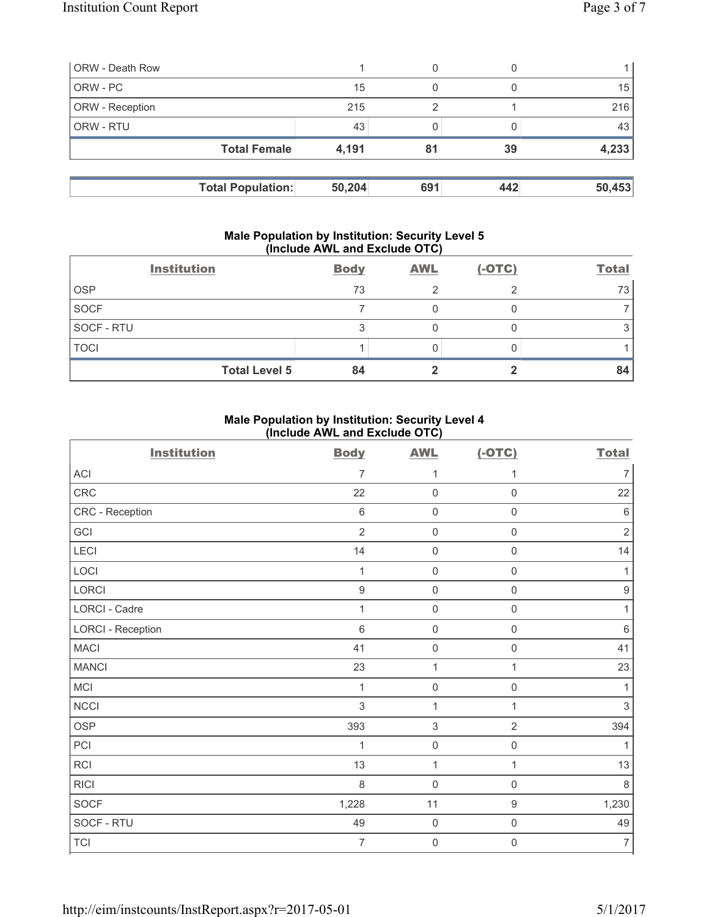| <b>ORW</b> - Death Row |                          |        | 0   |     |        |
|------------------------|--------------------------|--------|-----|-----|--------|
| ORW - PC               |                          | 15     | 0   |     | 15     |
| <b>ORW</b> - Reception |                          | 215    | っ   |     | 216    |
| <b>ORW - RTU</b>       |                          | 43     |     |     | 43     |
|                        | <b>Total Female</b>      | 4,191  | 81  | 39  | 4,233  |
|                        |                          |        |     |     |        |
|                        | <b>Total Population:</b> | 50,204 | 691 | 442 | 50,453 |

#### **Male Population by Institution: Security Level 5 (Include AWL and Exclude OTC)**

|             | <b>Institution</b>   | <b>Body</b> | <b>AWL</b> | $(-OTC)$ | <b>Total</b> |
|-------------|----------------------|-------------|------------|----------|--------------|
| <b>OSP</b>  |                      | 73          |            |          | 73           |
| <b>SOCF</b> |                      |             |            |          |              |
| SOCF - RTU  |                      |             |            |          |              |
| <b>TOCI</b> |                      |             |            |          |              |
|             | <b>Total Level 5</b> | 84          |            |          | 84           |

# **Male Population by Institution: Security Level 4 (Include AWL and Exclude OTC)**

| <b>Institution</b>       | <b>Body</b>    | <b>AWL</b>          | $(-OTC)$            | <b>Total</b>     |
|--------------------------|----------------|---------------------|---------------------|------------------|
| <b>ACI</b>               | 7              | 1                   | 1                   | $\overline{7}$   |
| CRC                      | 22             | $\mathbf 0$         | $\mathsf{O}\xspace$ | 22               |
| CRC - Reception          | $\,6\,$        | $\mathbf 0$         | $\mathsf{O}\xspace$ | $\,6\,$          |
| GCI                      | $\overline{2}$ | $\mathbf 0$         | $\mathsf{O}\xspace$ | $\sqrt{2}$       |
| LECI                     | 14             | $\mathbf 0$         | $\mathsf{O}\xspace$ | 14               |
| LOCI                     | 1              | $\mathbf 0$         | $\mathsf 0$         | 1                |
| LORCI                    | $\hbox{9}$     | $\mathbf 0$         | $\mathsf{O}\xspace$ | $\boldsymbol{9}$ |
| LORCI - Cadre            | 1              | $\mathbf 0$         | $\mathsf{O}\xspace$ | 1                |
| <b>LORCI - Reception</b> | $6\phantom{1}$ | $\mathbf 0$         | $\mathsf 0$         | $\,6\,$          |
| <b>MACI</b>              | 41             | $\mathsf{O}\xspace$ | $\mathsf 0$         | 41               |
| <b>MANCI</b>             | 23             | $\mathbf{1}$        | 1                   | 23               |
| MCI                      | $\mathbf{1}$   | $\mathbf 0$         | $\mathsf{O}\xspace$ | 1                |
| <b>NCCI</b>              | $\mathfrak{S}$ | $\mathbf{1}$        | $\mathbf{1}$        | $\mathfrak{S}$   |
| <b>OSP</b>               | 393            | $\,$ 3 $\,$         | $\overline{2}$      | 394              |
| PCI                      | 1              | $\mathbf 0$         | $\mathsf 0$         | 1                |
| <b>RCI</b>               | 13             | 1                   | 1                   | 13               |
| <b>RICI</b>              | 8              | $\mathbf 0$         | $\mathsf 0$         | 8                |
| <b>SOCF</b>              | 1,228          | 11                  | $\boldsymbol{9}$    | 1,230            |
| SOCF - RTU               | 49             | $\mathbf 0$         | $\mathbf 0$         | 49               |
| <b>TCI</b>               | $\overline{7}$ | $\mathsf{O}\xspace$ | $\mathsf{O}\xspace$ | $\overline{7}$   |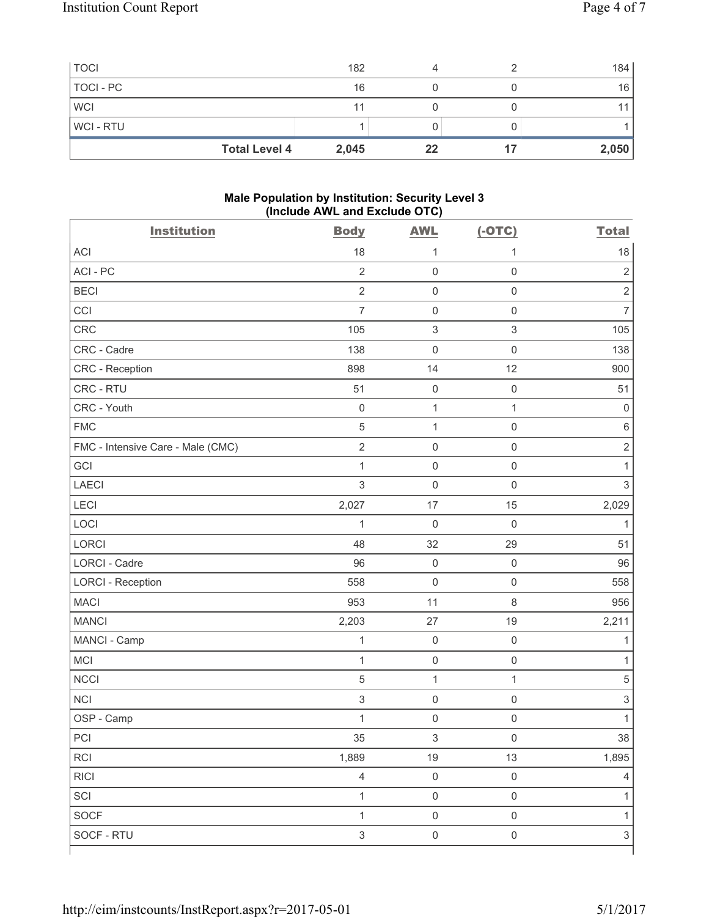|                | <b>Total Level 4</b><br>2,045 | 22 | 2,050 |
|----------------|-------------------------------|----|-------|
| <b>WCI-RTU</b> |                               |    |       |
| <b>WCI</b>     | 11                            |    |       |
| TOCI - PC      | 16                            |    | 16    |
| <b>TOCI</b>    | 182                           |    | 184   |

### **Male Population by Institution: Security Level 3 (Include AWL and Exclude OTC)**

| <b>Institution</b>                | <b>Body</b>               | <b>AWL</b>                | $(-OTC)$                  | <b>Total</b>              |
|-----------------------------------|---------------------------|---------------------------|---------------------------|---------------------------|
| <b>ACI</b>                        | 18                        | 1                         | 1                         | 18                        |
| ACI-PC                            | $\overline{2}$            | $\mathsf 0$               | $\mathsf 0$               | $\mathbf 2$               |
| <b>BECI</b>                       | $\overline{2}$            | $\mathsf{O}\xspace$       | $\mathsf 0$               | $\overline{2}$            |
| CCI                               | $\overline{7}$            | $\mathsf{O}\xspace$       | $\mathsf 0$               | $\overline{7}$            |
| CRC                               | 105                       | $\ensuremath{\mathsf{3}}$ | $\ensuremath{\mathsf{3}}$ | 105                       |
| CRC - Cadre                       | 138                       | $\mathsf{O}\xspace$       | $\mathsf 0$               | 138                       |
| CRC - Reception                   | 898                       | 14                        | 12                        | 900                       |
| CRC - RTU                         | 51                        | $\mathsf{O}\xspace$       | $\mathsf 0$               | 51                        |
| CRC - Youth                       | $\mathsf{O}\xspace$       | $\mathbf{1}$              | $\mathbf{1}$              | 0                         |
| <b>FMC</b>                        | $\overline{5}$            | $\mathbf{1}$              | $\mathsf 0$               | $\,6\,$                   |
| FMC - Intensive Care - Male (CMC) | $\sqrt{2}$                | $\mathsf{O}\xspace$       | $\mathsf 0$               | $\sqrt{2}$                |
| GCI                               | $\mathbf{1}$              | $\mathsf{O}\xspace$       | $\mathsf 0$               | 1                         |
| <b>LAECI</b>                      | $\mathfrak{S}$            | $\mathbf 0$               | $\mathsf 0$               | $\mathsf 3$               |
| LECI                              | 2,027                     | 17                        | 15                        | 2,029                     |
| LOCI                              | $\mathbf{1}$              | $\mathbf 0$               | $\mathsf 0$               | $\mathbf{1}$              |
| LORCI                             | 48                        | 32                        | 29                        | 51                        |
| LORCI - Cadre                     | 96                        | $\mathsf{O}\xspace$       | $\mathsf 0$               | 96                        |
| <b>LORCI - Reception</b>          | 558                       | $\mathsf{O}\xspace$       | $\mathsf{O}\xspace$       | 558                       |
| <b>MACI</b>                       | 953                       | 11                        | $\,8\,$                   | 956                       |
| <b>MANCI</b>                      | 2,203                     | 27                        | 19                        | 2,211                     |
| MANCI - Camp                      | $\mathbf{1}$              | $\mathsf{O}\xspace$       | $\mathsf{O}\xspace$       | 1                         |
| <b>MCI</b>                        | $\mathbf{1}$              | $\mathsf 0$               | $\mathsf 0$               | 1                         |
| <b>NCCI</b>                       | $\sqrt{5}$                | $\mathbf{1}$              | $\mathbf{1}$              | $\,$ 5 $\,$               |
| <b>NCI</b>                        | $\ensuremath{\mathsf{3}}$ | $\mathsf{O}\xspace$       | $\mathsf{O}\xspace$       | $\ensuremath{\mathsf{3}}$ |
| OSP - Camp                        | $\mathbf 1$               | $\mathsf{O}\xspace$       | $\mathsf{O}\xspace$       | $\mathbf{1}$              |
| $\sf{PCI}$                        | 35                        | $\sqrt{3}$                | $\mathsf 0$               | 38                        |
| <b>RCI</b>                        | 1,889                     | 19                        | 13                        | 1,895                     |
| <b>RICI</b>                       | $\overline{4}$            | $\mathsf{O}\xspace$       | $\mathbf 0$               | 4                         |
| SCI                               | $\mathbf{1}$              | $\mathsf{O}\xspace$       | $\mathsf 0$               | $\mathbf{1}$              |
| SOCF                              | $\mathbf{1}$              | $\mathsf{O}\xspace$       | $\mathsf{O}\xspace$       | $\mathbf{1}$              |
| SOCF - RTU                        | $\sqrt{3}$                | $\mathsf{O}\xspace$       | $\mathsf 0$               | $\sqrt{3}$                |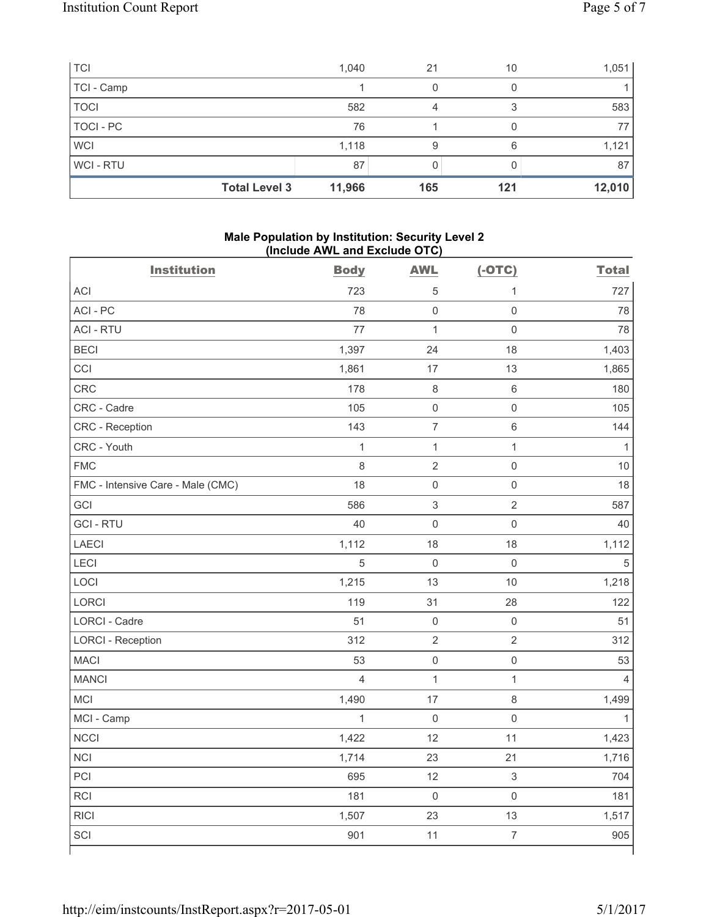| <b>TCI</b>  |                      | 1,040  | 21  | 10  | 1,051  |
|-------------|----------------------|--------|-----|-----|--------|
| TCI - Camp  |                      |        |     |     |        |
| <b>TOCI</b> |                      | 582    | 4   |     | 583    |
| TOCI - PC   |                      | 76     |     |     | 77     |
| <b>WCI</b>  |                      | 1,118  | 9   | 6   | 1,121  |
| WCI - RTU   |                      | 87     |     |     | 87     |
|             | <b>Total Level 3</b> | 11,966 | 165 | 121 | 12,010 |

#### **Male Population by Institution: Security Level 2 (Include AWL and Exclude OTC)**

| <b>Institution</b>                | <b>Body</b>    | <b>AWL</b>          | $(-OTC)$            | <b>Total</b>   |
|-----------------------------------|----------------|---------------------|---------------------|----------------|
| <b>ACI</b>                        | 723            | 5                   | $\mathbf{1}$        | 727            |
| ACI - PC                          | 78             | $\mathsf{O}\xspace$ | $\mathsf{O}\xspace$ | 78             |
| <b>ACI - RTU</b>                  | 77             | $\mathbf{1}$        | $\mathsf{O}\xspace$ | 78             |
| <b>BECI</b>                       | 1,397          | 24                  | 18                  | 1,403          |
| CCI                               | 1,861          | 17                  | 13                  | 1,865          |
| <b>CRC</b>                        | 178            | $\,8\,$             | $\,6\,$             | 180            |
| CRC - Cadre                       | 105            | $\mathsf 0$         | $\mathsf{O}\xspace$ | 105            |
| CRC - Reception                   | 143            | $\overline{7}$      | $\,6\,$             | 144            |
| CRC - Youth                       | $\mathbf{1}$   | $\mathbf{1}$        | $\mathbf{1}$        | $\mathbf{1}$   |
| <b>FMC</b>                        | 8              | $\overline{2}$      | $\mathsf{O}\xspace$ | 10             |
| FMC - Intensive Care - Male (CMC) | 18             | $\mathsf{O}\xspace$ | $\mathsf{O}\xspace$ | 18             |
| GCI                               | 586            | 3                   | $\overline{2}$      | 587            |
| <b>GCI-RTU</b>                    | 40             | $\mathbf 0$         | $\mathsf{O}\xspace$ | 40             |
| <b>LAECI</b>                      | 1,112          | 18                  | 18                  | 1,112          |
| LECI                              | $\overline{5}$ | $\mathsf{O}\xspace$ | $\mathsf{O}\xspace$ | 5              |
| LOCI                              | 1,215          | 13                  | $10$                | 1,218          |
| LORCI                             | 119            | 31                  | 28                  | 122            |
| <b>LORCI - Cadre</b>              | 51             | $\mathsf{O}\xspace$ | $\mathsf{O}\xspace$ | 51             |
| <b>LORCI - Reception</b>          | 312            | $\overline{2}$      | $\overline{2}$      | 312            |
| <b>MACI</b>                       | 53             | $\mathsf{O}\xspace$ | $\mathsf{O}\xspace$ | 53             |
| <b>MANCI</b>                      | $\overline{4}$ | $\mathbf{1}$        | $\mathbf{1}$        | $\overline{4}$ |
| <b>MCI</b>                        | 1,490          | 17                  | $\,8\,$             | 1,499          |
| MCI - Camp                        | $\mathbf{1}$   | $\mathbf 0$         | $\mathsf{O}\xspace$ | $\mathbf{1}$   |
| <b>NCCI</b>                       | 1,422          | 12                  | 11                  | 1,423          |
| <b>NCI</b>                        | 1,714          | 23                  | 21                  | 1,716          |
| PCI                               | 695            | 12                  | $\,$ 3 $\,$         | 704            |
| RCI                               | 181            | $\mathbf 0$         | $\mathsf{O}\xspace$ | 181            |
| <b>RICI</b>                       | 1,507          | 23                  | 13                  | 1,517          |
| SCI                               | 901            | 11                  | $\overline{7}$      | 905            |
|                                   |                |                     |                     |                |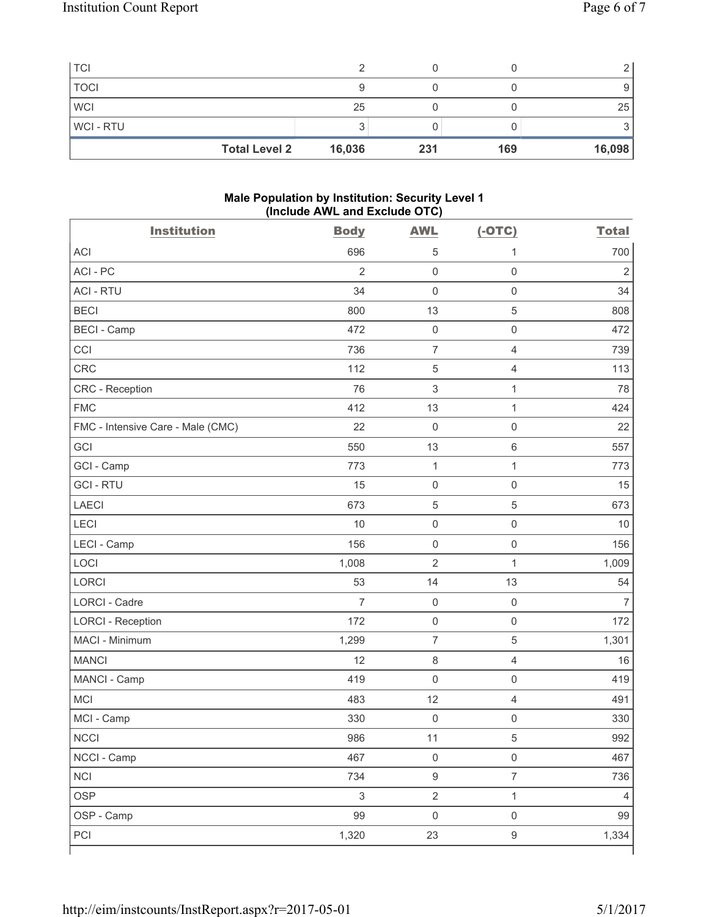| <b>Total Level 2</b> | 16,036 | 231 | 169 | 16,098 |
|----------------------|--------|-----|-----|--------|
| <b>WCI-RTU</b>       |        |     |     |        |
| <b>WCI</b>           | 25     |     |     | 25     |
| <b>TOCI</b>          |        |     |     |        |
| <b>TCI</b>           |        |     |     |        |

## **Male Population by Institution: Security Level 1 (Include AWL and Exclude OTC)**

| <b>ACI</b><br>696<br>5<br>1<br>ACI - PC<br>$\overline{2}$<br>$\mathbf 0$<br>$\mathsf 0$<br>34<br>$\mathbf 0$<br>$\mathsf 0$<br><b>ACI - RTU</b><br>$\sqrt{5}$<br><b>BECI</b><br>800<br>13<br><b>BECI - Camp</b><br>$\mathsf 0$<br>472<br>$\mathbf 0$<br>CCI<br>736<br>$\overline{7}$<br>$\overline{4}$<br><b>CRC</b><br>$\sqrt{5}$<br>112<br>4<br>$\mathsf 3$<br>$\mathbf{1}$<br>CRC - Reception<br>76<br><b>FMC</b><br>412<br>13<br>$\mathbf{1}$<br>FMC - Intensive Care - Male (CMC)<br>22<br>$\mathsf{O}\xspace$<br>$\mathsf 0$<br>GCI<br>550<br>13<br>$6\,$<br>$\mathbf 1$<br>GCI - Camp<br>773<br>$\mathbf{1}$<br><b>GCI-RTU</b><br>$\mathsf 0$<br>$\mathsf 0$<br>15<br><b>LAECI</b><br>673<br>$\sqrt{5}$<br>$\sqrt{5}$<br>LECI<br>10<br>$\mathsf{O}\xspace$<br>$\mathsf 0$<br>156<br>LECI - Camp<br>$\mathsf{O}\xspace$<br>$\mathbf 0$<br>$\overline{2}$<br>LOCI<br>1,008<br>$\mathbf{1}$<br><b>LORCI</b><br>53<br>14<br>13<br><b>LORCI - Cadre</b><br>$\mathsf{O}\xspace$<br>$\overline{7}$<br>$\mathsf 0$<br><b>LORCI - Reception</b><br>172<br>$\mathsf 0$<br>$\mathsf 0$<br>$\overline{5}$<br>MACI - Minimum<br>$\overline{7}$<br>1,299<br>12<br>$\,8\,$<br><b>MANCI</b><br>4<br>419<br>$\mathbf 0$<br>$\mathsf{O}\xspace$<br>MANCI - Camp<br><b>MCI</b><br>12<br>$\overline{4}$<br>483<br>MCI - Camp<br>330<br>$\mathsf{O}\xspace$<br>$\mathsf{O}\xspace$<br>NCCI<br>5<br>986<br>$11$<br>$\mathsf{O}\xspace$<br>NCCI - Camp<br>467<br>$\mathsf 0$<br>$\boldsymbol{9}$<br><b>NCI</b><br>$\overline{7}$<br>734<br>$\mathfrak{S}$<br>$\overline{2}$<br>$\mathbf{1}$<br><b>OSP</b><br>OSP - Camp<br>$\mathsf{O}\xspace$<br>$\mathsf{O}\xspace$<br>99 | <b>Institution</b> | <b>Body</b> | <b>AWL</b> | $(-OTC)$         | <b>Total</b>   |
|-------------------------------------------------------------------------------------------------------------------------------------------------------------------------------------------------------------------------------------------------------------------------------------------------------------------------------------------------------------------------------------------------------------------------------------------------------------------------------------------------------------------------------------------------------------------------------------------------------------------------------------------------------------------------------------------------------------------------------------------------------------------------------------------------------------------------------------------------------------------------------------------------------------------------------------------------------------------------------------------------------------------------------------------------------------------------------------------------------------------------------------------------------------------------------------------------------------------------------------------------------------------------------------------------------------------------------------------------------------------------------------------------------------------------------------------------------------------------------------------------------------------------------------------------------------------------------------------------------------------------------------------------------------|--------------------|-------------|------------|------------------|----------------|
|                                                                                                                                                                                                                                                                                                                                                                                                                                                                                                                                                                                                                                                                                                                                                                                                                                                                                                                                                                                                                                                                                                                                                                                                                                                                                                                                                                                                                                                                                                                                                                                                                                                             |                    |             |            |                  | 700            |
|                                                                                                                                                                                                                                                                                                                                                                                                                                                                                                                                                                                                                                                                                                                                                                                                                                                                                                                                                                                                                                                                                                                                                                                                                                                                                                                                                                                                                                                                                                                                                                                                                                                             |                    |             |            |                  | $\overline{2}$ |
|                                                                                                                                                                                                                                                                                                                                                                                                                                                                                                                                                                                                                                                                                                                                                                                                                                                                                                                                                                                                                                                                                                                                                                                                                                                                                                                                                                                                                                                                                                                                                                                                                                                             |                    |             |            |                  | 34             |
|                                                                                                                                                                                                                                                                                                                                                                                                                                                                                                                                                                                                                                                                                                                                                                                                                                                                                                                                                                                                                                                                                                                                                                                                                                                                                                                                                                                                                                                                                                                                                                                                                                                             |                    |             |            |                  | 808            |
|                                                                                                                                                                                                                                                                                                                                                                                                                                                                                                                                                                                                                                                                                                                                                                                                                                                                                                                                                                                                                                                                                                                                                                                                                                                                                                                                                                                                                                                                                                                                                                                                                                                             |                    |             |            |                  | 472            |
|                                                                                                                                                                                                                                                                                                                                                                                                                                                                                                                                                                                                                                                                                                                                                                                                                                                                                                                                                                                                                                                                                                                                                                                                                                                                                                                                                                                                                                                                                                                                                                                                                                                             |                    |             |            |                  | 739            |
|                                                                                                                                                                                                                                                                                                                                                                                                                                                                                                                                                                                                                                                                                                                                                                                                                                                                                                                                                                                                                                                                                                                                                                                                                                                                                                                                                                                                                                                                                                                                                                                                                                                             |                    |             |            |                  | 113            |
|                                                                                                                                                                                                                                                                                                                                                                                                                                                                                                                                                                                                                                                                                                                                                                                                                                                                                                                                                                                                                                                                                                                                                                                                                                                                                                                                                                                                                                                                                                                                                                                                                                                             |                    |             |            |                  | 78             |
|                                                                                                                                                                                                                                                                                                                                                                                                                                                                                                                                                                                                                                                                                                                                                                                                                                                                                                                                                                                                                                                                                                                                                                                                                                                                                                                                                                                                                                                                                                                                                                                                                                                             |                    |             |            |                  | 424            |
|                                                                                                                                                                                                                                                                                                                                                                                                                                                                                                                                                                                                                                                                                                                                                                                                                                                                                                                                                                                                                                                                                                                                                                                                                                                                                                                                                                                                                                                                                                                                                                                                                                                             |                    |             |            |                  | 22             |
|                                                                                                                                                                                                                                                                                                                                                                                                                                                                                                                                                                                                                                                                                                                                                                                                                                                                                                                                                                                                                                                                                                                                                                                                                                                                                                                                                                                                                                                                                                                                                                                                                                                             |                    |             |            |                  | 557            |
|                                                                                                                                                                                                                                                                                                                                                                                                                                                                                                                                                                                                                                                                                                                                                                                                                                                                                                                                                                                                                                                                                                                                                                                                                                                                                                                                                                                                                                                                                                                                                                                                                                                             |                    |             |            |                  | 773            |
|                                                                                                                                                                                                                                                                                                                                                                                                                                                                                                                                                                                                                                                                                                                                                                                                                                                                                                                                                                                                                                                                                                                                                                                                                                                                                                                                                                                                                                                                                                                                                                                                                                                             |                    |             |            |                  | 15             |
|                                                                                                                                                                                                                                                                                                                                                                                                                                                                                                                                                                                                                                                                                                                                                                                                                                                                                                                                                                                                                                                                                                                                                                                                                                                                                                                                                                                                                                                                                                                                                                                                                                                             |                    |             |            |                  | 673            |
|                                                                                                                                                                                                                                                                                                                                                                                                                                                                                                                                                                                                                                                                                                                                                                                                                                                                                                                                                                                                                                                                                                                                                                                                                                                                                                                                                                                                                                                                                                                                                                                                                                                             |                    |             |            |                  | 10             |
|                                                                                                                                                                                                                                                                                                                                                                                                                                                                                                                                                                                                                                                                                                                                                                                                                                                                                                                                                                                                                                                                                                                                                                                                                                                                                                                                                                                                                                                                                                                                                                                                                                                             |                    |             |            |                  | 156            |
|                                                                                                                                                                                                                                                                                                                                                                                                                                                                                                                                                                                                                                                                                                                                                                                                                                                                                                                                                                                                                                                                                                                                                                                                                                                                                                                                                                                                                                                                                                                                                                                                                                                             |                    |             |            |                  | 1,009          |
|                                                                                                                                                                                                                                                                                                                                                                                                                                                                                                                                                                                                                                                                                                                                                                                                                                                                                                                                                                                                                                                                                                                                                                                                                                                                                                                                                                                                                                                                                                                                                                                                                                                             |                    |             |            |                  | 54             |
|                                                                                                                                                                                                                                                                                                                                                                                                                                                                                                                                                                                                                                                                                                                                                                                                                                                                                                                                                                                                                                                                                                                                                                                                                                                                                                                                                                                                                                                                                                                                                                                                                                                             |                    |             |            |                  | $\overline{7}$ |
|                                                                                                                                                                                                                                                                                                                                                                                                                                                                                                                                                                                                                                                                                                                                                                                                                                                                                                                                                                                                                                                                                                                                                                                                                                                                                                                                                                                                                                                                                                                                                                                                                                                             |                    |             |            |                  | 172            |
|                                                                                                                                                                                                                                                                                                                                                                                                                                                                                                                                                                                                                                                                                                                                                                                                                                                                                                                                                                                                                                                                                                                                                                                                                                                                                                                                                                                                                                                                                                                                                                                                                                                             |                    |             |            |                  | 1,301          |
|                                                                                                                                                                                                                                                                                                                                                                                                                                                                                                                                                                                                                                                                                                                                                                                                                                                                                                                                                                                                                                                                                                                                                                                                                                                                                                                                                                                                                                                                                                                                                                                                                                                             |                    |             |            |                  | 16             |
|                                                                                                                                                                                                                                                                                                                                                                                                                                                                                                                                                                                                                                                                                                                                                                                                                                                                                                                                                                                                                                                                                                                                                                                                                                                                                                                                                                                                                                                                                                                                                                                                                                                             |                    |             |            |                  | 419            |
|                                                                                                                                                                                                                                                                                                                                                                                                                                                                                                                                                                                                                                                                                                                                                                                                                                                                                                                                                                                                                                                                                                                                                                                                                                                                                                                                                                                                                                                                                                                                                                                                                                                             |                    |             |            |                  | 491            |
|                                                                                                                                                                                                                                                                                                                                                                                                                                                                                                                                                                                                                                                                                                                                                                                                                                                                                                                                                                                                                                                                                                                                                                                                                                                                                                                                                                                                                                                                                                                                                                                                                                                             |                    |             |            |                  | 330            |
|                                                                                                                                                                                                                                                                                                                                                                                                                                                                                                                                                                                                                                                                                                                                                                                                                                                                                                                                                                                                                                                                                                                                                                                                                                                                                                                                                                                                                                                                                                                                                                                                                                                             |                    |             |            |                  | 992            |
|                                                                                                                                                                                                                                                                                                                                                                                                                                                                                                                                                                                                                                                                                                                                                                                                                                                                                                                                                                                                                                                                                                                                                                                                                                                                                                                                                                                                                                                                                                                                                                                                                                                             |                    |             |            |                  | 467            |
|                                                                                                                                                                                                                                                                                                                                                                                                                                                                                                                                                                                                                                                                                                                                                                                                                                                                                                                                                                                                                                                                                                                                                                                                                                                                                                                                                                                                                                                                                                                                                                                                                                                             |                    |             |            |                  | 736            |
|                                                                                                                                                                                                                                                                                                                                                                                                                                                                                                                                                                                                                                                                                                                                                                                                                                                                                                                                                                                                                                                                                                                                                                                                                                                                                                                                                                                                                                                                                                                                                                                                                                                             |                    |             |            |                  | $\overline{4}$ |
|                                                                                                                                                                                                                                                                                                                                                                                                                                                                                                                                                                                                                                                                                                                                                                                                                                                                                                                                                                                                                                                                                                                                                                                                                                                                                                                                                                                                                                                                                                                                                                                                                                                             |                    |             |            |                  | 99             |
|                                                                                                                                                                                                                                                                                                                                                                                                                                                                                                                                                                                                                                                                                                                                                                                                                                                                                                                                                                                                                                                                                                                                                                                                                                                                                                                                                                                                                                                                                                                                                                                                                                                             | PCI                | 1,320       | 23         | $\boldsymbol{9}$ | 1,334          |